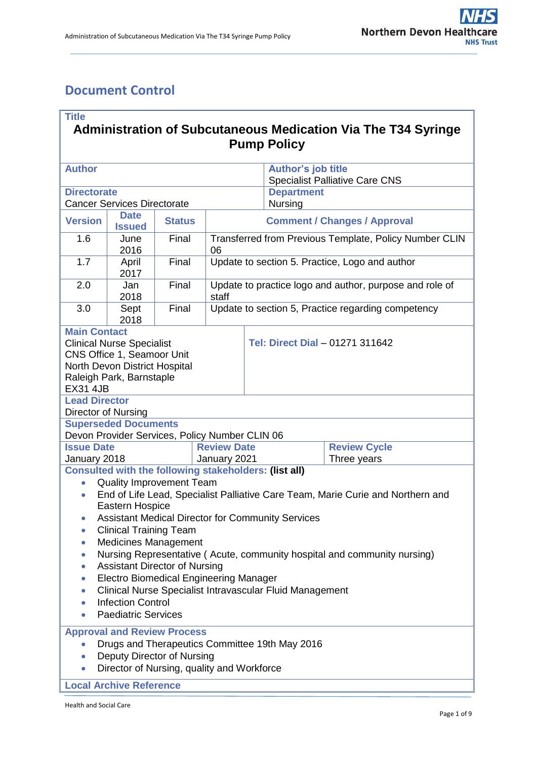# **Document Control**

| <b>Title</b><br><b>Administration of Subcutaneous Medication Via The T34 Syringe</b>                                                                                                                                                                                                                                                                                                                                                                                                                                                                                                                                                                                |               |                                                                  |                                                    |                                                                    |  |  |  |
|---------------------------------------------------------------------------------------------------------------------------------------------------------------------------------------------------------------------------------------------------------------------------------------------------------------------------------------------------------------------------------------------------------------------------------------------------------------------------------------------------------------------------------------------------------------------------------------------------------------------------------------------------------------------|---------------|------------------------------------------------------------------|----------------------------------------------------|--------------------------------------------------------------------|--|--|--|
| <b>Pump Policy</b>                                                                                                                                                                                                                                                                                                                                                                                                                                                                                                                                                                                                                                                  |               |                                                                  |                                                    |                                                                    |  |  |  |
| <b>Author</b>                                                                                                                                                                                                                                                                                                                                                                                                                                                                                                                                                                                                                                                       |               |                                                                  |                                                    | <b>Author's job title</b><br><b>Specialist Palliative Care CNS</b> |  |  |  |
| <b>Directorate</b>                                                                                                                                                                                                                                                                                                                                                                                                                                                                                                                                                                                                                                                  |               |                                                                  |                                                    | <b>Department</b>                                                  |  |  |  |
| <b>Cancer Services Directorate</b>                                                                                                                                                                                                                                                                                                                                                                                                                                                                                                                                                                                                                                  |               |                                                                  |                                                    | Nursing                                                            |  |  |  |
| <b>Date</b><br><b>Version</b><br><b>Issued</b>                                                                                                                                                                                                                                                                                                                                                                                                                                                                                                                                                                                                                      | <b>Status</b> | <b>Comment / Changes / Approval</b>                              |                                                    |                                                                    |  |  |  |
| 1.6<br>June<br>2016                                                                                                                                                                                                                                                                                                                                                                                                                                                                                                                                                                                                                                                 | Final         | Transferred from Previous Template, Policy Number CLIN<br>06     |                                                    |                                                                    |  |  |  |
| 1.7<br>April<br>2017                                                                                                                                                                                                                                                                                                                                                                                                                                                                                                                                                                                                                                                | Final         | Update to section 5. Practice, Logo and author                   |                                                    |                                                                    |  |  |  |
| 2.0<br>Jan<br>2018                                                                                                                                                                                                                                                                                                                                                                                                                                                                                                                                                                                                                                                  | Final         | Update to practice logo and author, purpose and role of<br>staff |                                                    |                                                                    |  |  |  |
| 3.0<br>Sept<br>2018                                                                                                                                                                                                                                                                                                                                                                                                                                                                                                                                                                                                                                                 | Final         |                                                                  | Update to section 5, Practice regarding competency |                                                                    |  |  |  |
| <b>Main Contact</b><br><b>Clinical Nurse Specialist</b><br>CNS Office 1, Seamoor Unit<br>North Devon District Hospital<br>Raleigh Park, Barnstaple<br><b>EX31 4JB</b>                                                                                                                                                                                                                                                                                                                                                                                                                                                                                               |               |                                                                  | Tel: Direct Dial - 01271 311642                    |                                                                    |  |  |  |
| <b>Lead Director</b>                                                                                                                                                                                                                                                                                                                                                                                                                                                                                                                                                                                                                                                |               |                                                                  |                                                    |                                                                    |  |  |  |
| Director of Nursing<br><b>Superseded Documents</b>                                                                                                                                                                                                                                                                                                                                                                                                                                                                                                                                                                                                                  |               |                                                                  |                                                    |                                                                    |  |  |  |
| Devon Provider Services, Policy Number CLIN 06                                                                                                                                                                                                                                                                                                                                                                                                                                                                                                                                                                                                                      |               |                                                                  |                                                    |                                                                    |  |  |  |
| <b>Issue Date</b>                                                                                                                                                                                                                                                                                                                                                                                                                                                                                                                                                                                                                                                   |               | <b>Review Date</b>                                               |                                                    | <b>Review Cycle</b>                                                |  |  |  |
| January 2018                                                                                                                                                                                                                                                                                                                                                                                                                                                                                                                                                                                                                                                        |               | January 2021                                                     | Three years                                        |                                                                    |  |  |  |
| Consulted with the following stakeholders: (list all)<br><b>Quality Improvement Team</b><br>$\bullet$<br>End of Life Lead, Specialist Palliative Care Team, Marie Curie and Northern and<br>$\bullet$<br><b>Eastern Hospice</b><br><b>Assistant Medical Director for Community Services</b><br><b>Clinical Training Team</b><br><b>Medicines Management</b><br>Nursing Representative (Acute, community hospital and community nursing)<br><b>Assistant Director of Nursing</b><br><b>Electro Biomedical Engineering Manager</b><br>Clinical Nurse Specialist Intravascular Fluid Management<br>$\bullet$<br><b>Infection Control</b><br><b>Paediatric Services</b> |               |                                                                  |                                                    |                                                                    |  |  |  |
| <b>Approval and Review Process</b><br>Drugs and Therapeutics Committee 19th May 2016<br>Deputy Director of Nursing<br>Director of Nursing, quality and Workforce<br>$\bullet$<br><b>Local Archive Reference</b>                                                                                                                                                                                                                                                                                                                                                                                                                                                     |               |                                                                  |                                                    |                                                                    |  |  |  |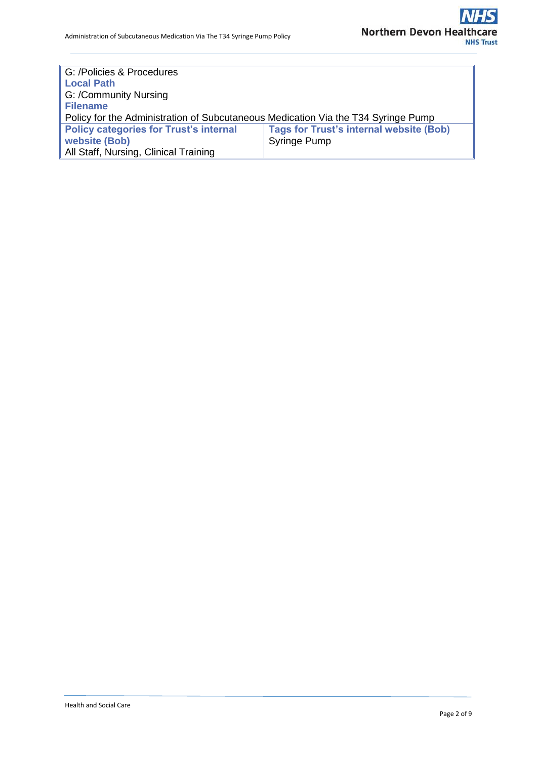| G: /Policies & Procedures                                                         |                                                |  |  |  |
|-----------------------------------------------------------------------------------|------------------------------------------------|--|--|--|
| <b>Local Path</b>                                                                 |                                                |  |  |  |
| G: /Community Nursing                                                             |                                                |  |  |  |
| <b>Filename</b>                                                                   |                                                |  |  |  |
| Policy for the Administration of Subcutaneous Medication Via the T34 Syringe Pump |                                                |  |  |  |
| <b>Policy categories for Trust's internal</b>                                     | <b>Tags for Trust's internal website (Bob)</b> |  |  |  |
| website (Bob)                                                                     | <b>Syringe Pump</b>                            |  |  |  |
| All Staff, Nursing, Clinical Training                                             |                                                |  |  |  |
|                                                                                   |                                                |  |  |  |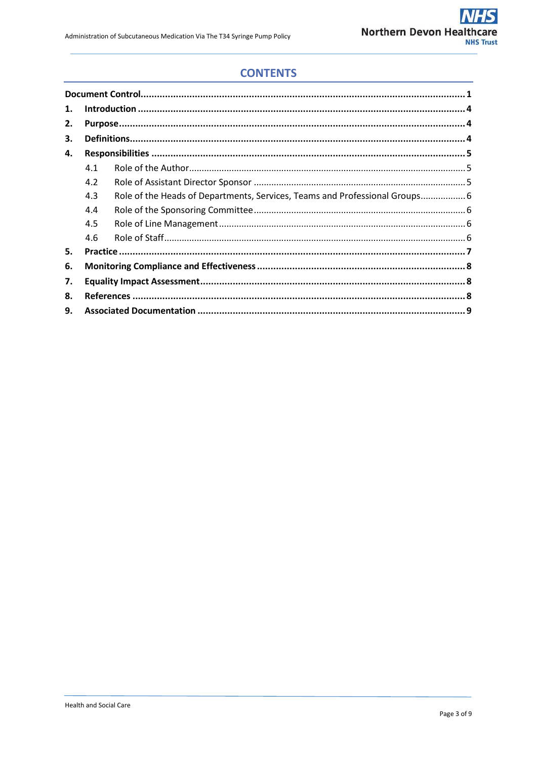## **CONTENTS**

| 1. |     |                                                                            |  |  |
|----|-----|----------------------------------------------------------------------------|--|--|
| 2. |     |                                                                            |  |  |
| З. |     |                                                                            |  |  |
| 4. |     |                                                                            |  |  |
|    | 4.1 |                                                                            |  |  |
|    | 4.2 |                                                                            |  |  |
|    | 4.3 | Role of the Heads of Departments, Services, Teams and Professional Groups6 |  |  |
|    | 4.4 |                                                                            |  |  |
|    | 4.5 |                                                                            |  |  |
|    | 4.6 |                                                                            |  |  |
| 5. |     |                                                                            |  |  |
| 6. |     |                                                                            |  |  |
| 7. |     |                                                                            |  |  |
| 8. |     |                                                                            |  |  |
| 9. |     |                                                                            |  |  |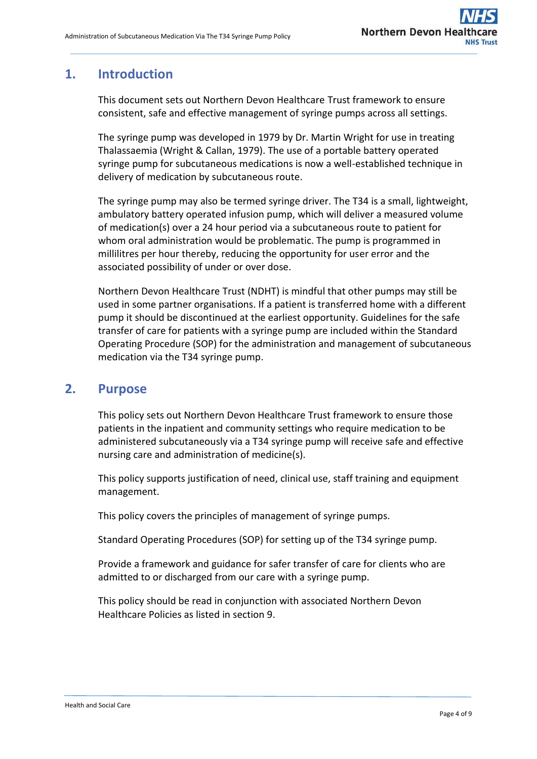## **1. Introduction**

This document sets out Northern Devon Healthcare Trust framework to ensure consistent, safe and effective management of syringe pumps across all settings.

The syringe pump was developed in 1979 by Dr. Martin Wright for use in treating Thalassaemia (Wright & Callan, 1979). The use of a portable battery operated syringe pump for subcutaneous medications is now a well-established technique in delivery of medication by subcutaneous route.

The syringe pump may also be termed syringe driver. The T34 is a small, lightweight, ambulatory battery operated infusion pump, which will deliver a measured volume of medication(s) over a 24 hour period via a subcutaneous route to patient for whom oral administration would be problematic. The pump is programmed in millilitres per hour thereby, reducing the opportunity for user error and the associated possibility of under or over dose.

Northern Devon Healthcare Trust (NDHT) is mindful that other pumps may still be used in some partner organisations. If a patient is transferred home with a different pump it should be discontinued at the earliest opportunity. Guidelines for the safe transfer of care for patients with a syringe pump are included within the Standard Operating Procedure (SOP) for the administration and management of subcutaneous medication via the T34 syringe pump.

### **2. Purpose**

This policy sets out Northern Devon Healthcare Trust framework to ensure those patients in the inpatient and community settings who require medication to be administered subcutaneously via a T34 syringe pump will receive safe and effective nursing care and administration of medicine(s).

This policy supports justification of need, clinical use, staff training and equipment management.

This policy covers the principles of management of syringe pumps.

Standard Operating Procedures (SOP) for setting up of the T34 syringe pump.

Provide a framework and guidance for safer transfer of care for clients who are admitted to or discharged from our care with a syringe pump.

This policy should be read in conjunction with associated Northern Devon Healthcare Policies as listed in section 9.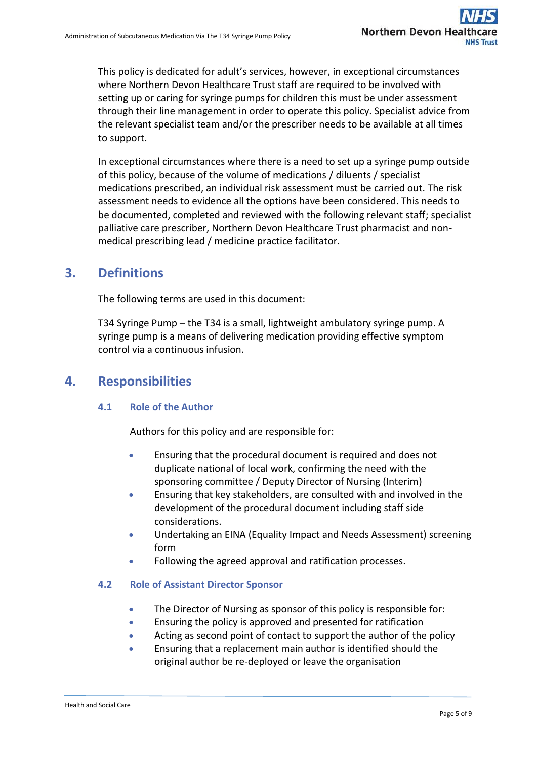This policy is dedicated for adult's services, however, in exceptional circumstances where Northern Devon Healthcare Trust staff are required to be involved with setting up or caring for syringe pumps for children this must be under assessment through their line management in order to operate this policy. Specialist advice from the relevant specialist team and/or the prescriber needs to be available at all times to support.

In exceptional circumstances where there is a need to set up a syringe pump outside of this policy, because of the volume of medications / diluents / specialist medications prescribed, an individual risk assessment must be carried out. The risk assessment needs to evidence all the options have been considered. This needs to be documented, completed and reviewed with the following relevant staff; specialist palliative care prescriber, Northern Devon Healthcare Trust pharmacist and nonmedical prescribing lead / medicine practice facilitator.

## **3. Definitions**

The following terms are used in this document:

T34 Syringe Pump – the T34 is a small, lightweight ambulatory syringe pump. A syringe pump is a means of delivering medication providing effective symptom control via a continuous infusion.

### **4. Responsibilities**

#### **4.1 Role of the Author**

Authors for this policy and are responsible for:

- Ensuring that the procedural document is required and does not duplicate national of local work, confirming the need with the sponsoring committee / Deputy Director of Nursing (Interim)
- Ensuring that key stakeholders, are consulted with and involved in the development of the procedural document including staff side considerations.
- Undertaking an EINA (Equality Impact and Needs Assessment) screening form
- Following the agreed approval and ratification processes.

#### **4.2 Role of Assistant Director Sponsor**

- The Director of Nursing as sponsor of this policy is responsible for:
- Ensuring the policy is approved and presented for ratification
- Acting as second point of contact to support the author of the policy
- Ensuring that a replacement main author is identified should the original author be re-deployed or leave the organisation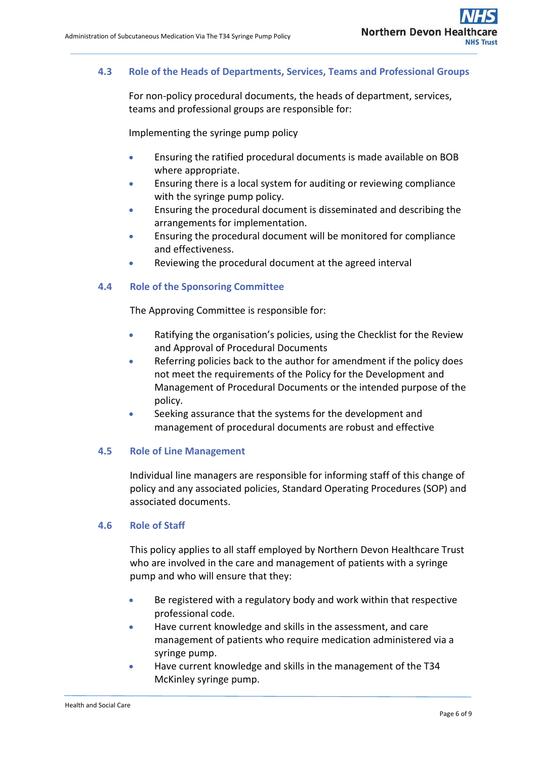### **4.3 Role of the Heads of Departments, Services, Teams and Professional Groups**

For non-policy procedural documents, the heads of department, services, teams and professional groups are responsible for:

Implementing the syringe pump policy

- Ensuring the ratified procedural documents is made available on BOB where appropriate.
- Ensuring there is a local system for auditing or reviewing compliance with the syringe pump policy.
- Ensuring the procedural document is disseminated and describing the arrangements for implementation.
- Ensuring the procedural document will be monitored for compliance and effectiveness.
- Reviewing the procedural document at the agreed interval

#### **4.4 Role of the Sponsoring Committee**

The Approving Committee is responsible for:

- Ratifying the organisation's policies, using the Checklist for the Review and Approval of Procedural Documents
- Referring policies back to the author for amendment if the policy does not meet the requirements of the Policy for the Development and Management of Procedural Documents or the intended purpose of the policy.
- Seeking assurance that the systems for the development and management of procedural documents are robust and effective

#### **4.5 Role of Line Management**

Individual line managers are responsible for informing staff of this change of policy and any associated policies, Standard Operating Procedures (SOP) and associated documents.

#### **4.6 Role of Staff**

This policy applies to all staff employed by Northern Devon Healthcare Trust who are involved in the care and management of patients with a syringe pump and who will ensure that they:

- Be registered with a regulatory body and work within that respective professional code.
- Have current knowledge and skills in the assessment, and care management of patients who require medication administered via a syringe pump.
- Have current knowledge and skills in the management of the T34 McKinley syringe pump.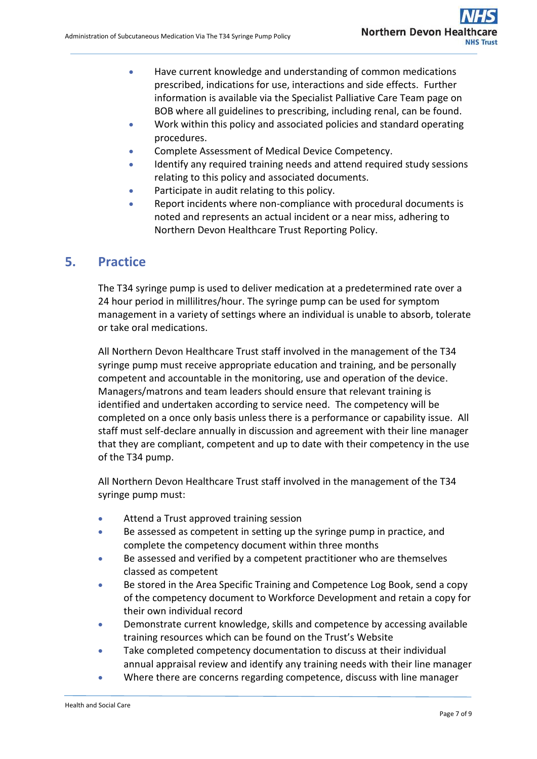- Have current knowledge and understanding of common medications prescribed, indications for use, interactions and side effects. Further information is available via the Specialist Palliative Care Team page on BOB where all guidelines to prescribing, including renal, can be found.
- Work within this policy and associated policies and standard operating procedures.
- **Complete Assessment of Medical Device Competency.**
- Identify any required training needs and attend required study sessions relating to this policy and associated documents.
- Participate in audit relating to this policy.
- Report incidents where non-compliance with procedural documents is noted and represents an actual incident or a near miss, adhering to Northern Devon Healthcare Trust Reporting Policy.

### **5. Practice**

The T34 syringe pump is used to deliver medication at a predetermined rate over a 24 hour period in millilitres/hour. The syringe pump can be used for symptom management in a variety of settings where an individual is unable to absorb, tolerate or take oral medications.

All Northern Devon Healthcare Trust staff involved in the management of the T34 syringe pump must receive appropriate education and training, and be personally competent and accountable in the monitoring, use and operation of the device. Managers/matrons and team leaders should ensure that relevant training is identified and undertaken according to service need. The competency will be completed on a once only basis unless there is a performance or capability issue. All staff must self-declare annually in discussion and agreement with their line manager that they are compliant, competent and up to date with their competency in the use of the T34 pump.

All Northern Devon Healthcare Trust staff involved in the management of the T34 syringe pump must:

- Attend a Trust approved training session
- Be assessed as competent in setting up the syringe pump in practice, and complete the competency document within three months
- Be assessed and verified by a competent practitioner who are themselves classed as competent
- Be stored in the Area Specific Training and Competence Log Book, send a copy of the competency document to Workforce Development and retain a copy for their own individual record
- Demonstrate current knowledge, skills and competence by accessing available training resources which can be found on the Trust's Website
- Take completed competency documentation to discuss at their individual annual appraisal review and identify any training needs with their line manager
- Where there are concerns regarding competence, discuss with line manager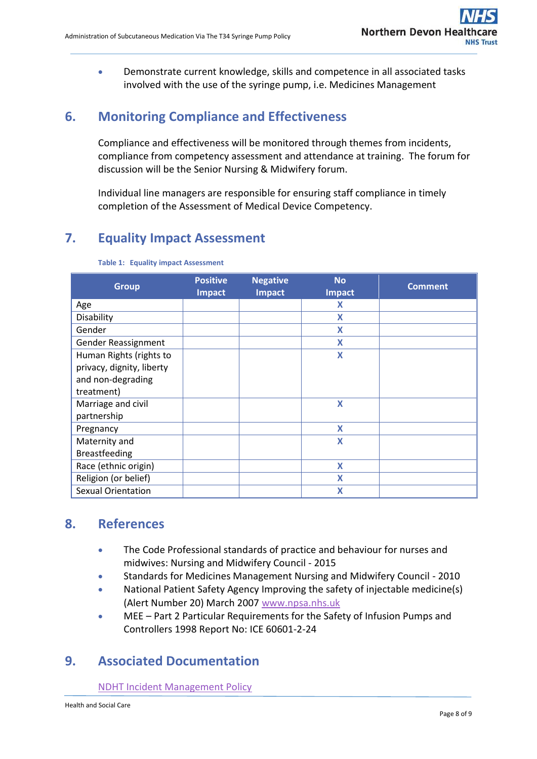Demonstrate current knowledge, skills and competence in all associated tasks involved with the use of the syringe pump, i.e. Medicines Management

## **6. Monitoring Compliance and Effectiveness**

Compliance and effectiveness will be monitored through themes from incidents, compliance from competency assessment and attendance at training. The forum for discussion will be the Senior Nursing & Midwifery forum.

Individual line managers are responsible for ensuring staff compliance in timely completion of the Assessment of Medical Device Competency.

## **7. Equality Impact Assessment**

| <b>Group</b>              | <b>Positive</b> | <b>Negative</b> | <b>No</b>        | <b>Comment</b> |
|---------------------------|-----------------|-----------------|------------------|----------------|
|                           | <b>Impact</b>   | <b>Impact</b>   | <b>Impact</b>    |                |
| Age                       |                 |                 | X                |                |
| Disability                |                 |                 | X                |                |
| Gender                    |                 |                 | X                |                |
| Gender Reassignment       |                 |                 | X                |                |
| Human Rights (rights to   |                 |                 | X                |                |
| privacy, dignity, liberty |                 |                 |                  |                |
| and non-degrading         |                 |                 |                  |                |
| treatment)                |                 |                 |                  |                |
| Marriage and civil        |                 |                 | X                |                |
| partnership               |                 |                 |                  |                |
| Pregnancy                 |                 |                 | $\boldsymbol{X}$ |                |
| Maternity and             |                 |                 | X                |                |
| <b>Breastfeeding</b>      |                 |                 |                  |                |
| Race (ethnic origin)      |                 |                 | X                |                |
| Religion (or belief)      |                 |                 | X                |                |
| <b>Sexual Orientation</b> |                 |                 | X                |                |

#### **Table 1: Equality impact Assessment**

## **8. References**

- The Code Professional standards of practice and behaviour for nurses and midwives: Nursing and Midwifery Council - 2015
- Standards for Medicines Management Nursing and Midwifery Council 2010
- National Patient Safety Agency Improving the safety of injectable medicine(s) (Alert Number 20) March 2007 [www.npsa.nhs.uk](http://www.npsa.nhs.uk/)
- MEE Part 2 Particular Requirements for the Safety of Infusion Pumps and Controllers 1998 Report No: ICE 60601-2-24

## **9. Associated Documentation**

[NDHT Incident Management Policy](http://ndht.ndevon.swest.nhs.uk/wp-content/uploads/2013/11/Incident-Management-Policy-V2-0-21Nov14.pdf)